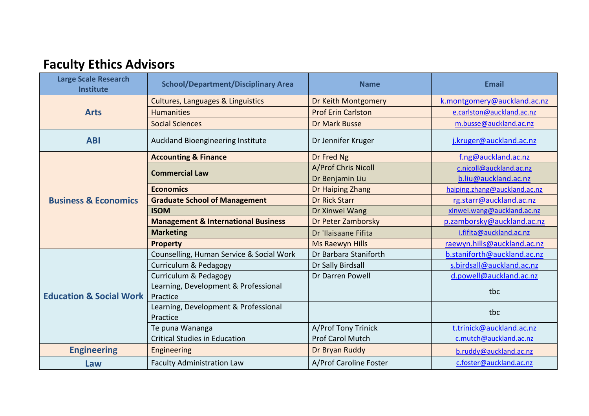## **Faculty Ethics Advisors**

| <b>Large Scale Research</b><br><b>Institute</b> | <b>School/Department/Disciplinary Area</b>       | <b>Name</b>                | <b>Email</b>                 |
|-------------------------------------------------|--------------------------------------------------|----------------------------|------------------------------|
| <b>Arts</b>                                     | <b>Cultures, Languages &amp; Linguistics</b>     | <b>Dr Keith Montgomery</b> | k.montgomery@auckland.ac.nz  |
|                                                 | <b>Humanities</b>                                | <b>Prof Erin Carlston</b>  | e.carlston@auckland.ac.nz    |
|                                                 | <b>Social Sciences</b>                           | <b>Dr Mark Busse</b>       | m.busse@auckland.ac.nz       |
| <b>ABI</b>                                      | Auckland Bioengineering Institute                | Dr Jennifer Kruger         | j.kruger@auckland.ac.nz      |
| <b>Business &amp; Economics</b>                 | <b>Accounting &amp; Finance</b>                  | Dr Fred Ng                 | f.ng@auckland.ac.nz          |
|                                                 | <b>Commercial Law</b>                            | A/Prof Chris Nicoll        | c.nicoll@auckland.ac.nz      |
|                                                 |                                                  | Dr Benjamin Liu            | b.liu@auckland.ac.nz         |
|                                                 | <b>Economics</b>                                 | Dr Haiping Zhang           | haiping.zhang@auckland.ac.nz |
|                                                 | <b>Graduate School of Management</b>             | <b>Dr Rick Starr</b>       | rg.starr@auckland.ac.nz      |
|                                                 | <b>ISOM</b>                                      | Dr Xinwei Wang             | xinwei.wang@auckland.ac.nz   |
|                                                 | <b>Management &amp; International Business</b>   | Dr Peter Zamborsky         | p.zamborsky@auckland.ac.nz   |
|                                                 | <b>Marketing</b>                                 | Dr 'Ilaisaane Fifita       | i.fifita@auckland.ac.nz      |
|                                                 | <b>Property</b>                                  | <b>Ms Raewyn Hills</b>     | raewyn.hills@auckland.ac.nz  |
| <b>Education &amp; Social Work</b>              | Counselling, Human Service & Social Work         | Dr Barbara Staniforth      | b.staniforth@auckland.ac.nz  |
|                                                 | Curriculum & Pedagogy                            | Dr Sally Birdsall          | s.birdsall@auckland.ac.nz    |
|                                                 | Curriculum & Pedagogy                            | Dr Darren Powell           | d.powell@auckland.ac.nz      |
|                                                 | Learning, Development & Professional<br>Practice |                            | tbc                          |
|                                                 | Learning, Development & Professional<br>Practice |                            | tbc                          |
|                                                 | Te puna Wananga                                  | A/Prof Tony Trinick        | t.trinick@auckland.ac.nz     |
|                                                 | <b>Critical Studies in Education</b>             | <b>Prof Carol Mutch</b>    | c.mutch@auckland.ac.nz       |
| <b>Engineering</b>                              | Engineering                                      | Dr Bryan Ruddy             | b.ruddy@auckland.ac.nz       |
| Law                                             | <b>Faculty Administration Law</b>                | A/Prof Caroline Foster     | c.foster@auckland.ac.nz      |